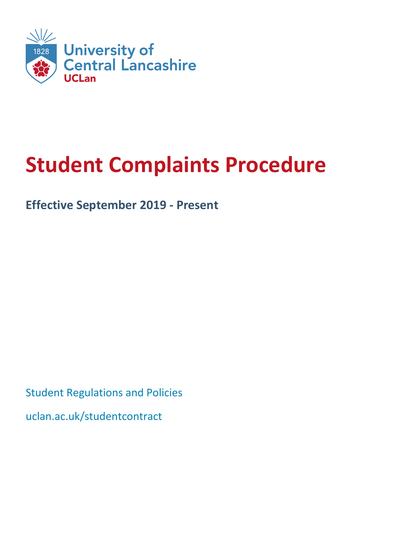

# **Student Complaints Procedure**

### **Effective September 2019 ‐ Present**

Student Regulations and Policies uclan.ac.uk/studentcontract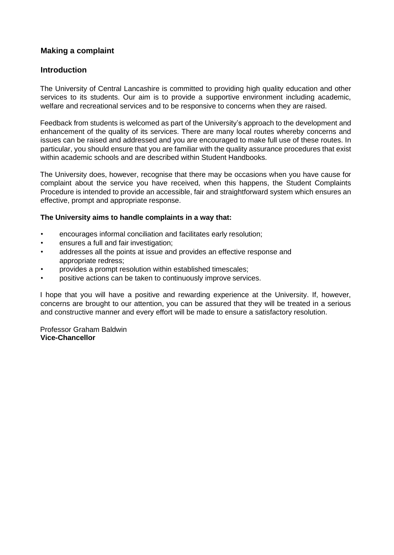#### **Making a complaint**

#### **Introduction**

The University of Central Lancashire is committed to providing high quality education and other services to its students. Our aim is to provide a supportive environment including academic, welfare and recreational services and to be responsive to concerns when they are raised.

Feedback from students is welcomed as part of the University's approach to the development and enhancement of the quality of its services. There are many local routes whereby concerns and issues can be raised and addressed and you are encouraged to make full use of these routes. In particular, you should ensure that you are familiar with the quality assurance procedures that exist within academic schools and are described within Student Handbooks.

The University does, however, recognise that there may be occasions when you have cause for complaint about the service you have received, when this happens, the Student Complaints Procedure is intended to provide an accessible, fair and straightforward system which ensures an effective, prompt and appropriate response.

#### **The University aims to handle complaints in a way that:**

- encourages informal conciliation and facilitates early resolution;
- ensures a full and fair investigation;
- addresses all the points at issue and provides an effective response and appropriate redress;
- provides a prompt resolution within established timescales;
- positive actions can be taken to continuously improve services.

I hope that you will have a positive and rewarding experience at the University. If, however, concerns are brought to our attention, you can be assured that they will be treated in a serious and constructive manner and every effort will be made to ensure a satisfactory resolution.

Professor Graham Baldwin **Vice-Chancellor**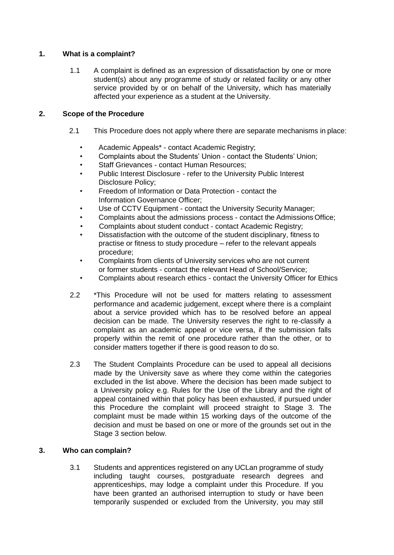#### **1. What is a complaint?**

1.1 A complaint is defined as an expression of dissatisfaction by one or more student(s) about any programme of study or related facility or any other service provided by or on behalf of the University, which has materially affected your experience as a student at the University.

#### **2. Scope of the Procedure**

- 2.1 This Procedure does not apply where there are separate mechanisms in place:
	- Academic Appeals\* contact Academic Registry;
	- Complaints about the Students' Union contact the Students' Union;
	- Staff Grievances contact Human Resources;
	- Public Interest Disclosure refer to the University Public Interest Disclosure Policy;
	- Freedom of Information or Data Protection contact the Information Governance Officer;
	- Use of CCTV Equipment contact the University Security Manager;
	- Complaints about the admissions process contact the AdmissionsOffice;
	- Complaints about student conduct contact Academic Registry;
	- Dissatisfaction with the outcome of the student disciplinary, fitness to practise or fitness to study procedure – refer to the relevant appeals procedure;
	- Complaints from clients of University services who are not current or former students - contact the relevant Head of School/Service;
	- Complaints about research ethics contact the University Officer for Ethics
- 2.2 \*This Procedure will not be used for matters relating to assessment performance and academic judgement, except where there is a complaint about a service provided which has to be resolved before an appeal decision can be made. The University reserves the right to re-classify a complaint as an academic appeal or vice versa, if the submission falls properly within the remit of one procedure rather than the other, or to consider matters together if there is good reason to do so.
- 2.3 The Student Complaints Procedure can be used to appeal all decisions made by the University save as where they come within the categories excluded in the list above. Where the decision has been made subject to a University policy e.g. Rules for the Use of the Library and the right of appeal contained within that policy has been exhausted, if pursued under this Procedure the complaint will proceed straight to Stage 3. The complaint must be made within 15 working days of the outcome of the decision and must be based on one or more of the grounds set out in the Stage 3 section below.

#### **3. Who can complain?**

3.1 Students and apprentices registered on any UCLan programme of study including taught courses, postgraduate research degrees and apprenticeships, may lodge a complaint under this Procedure. If you have been granted an authorised interruption to study or have been temporarily suspended or excluded from the University, you may still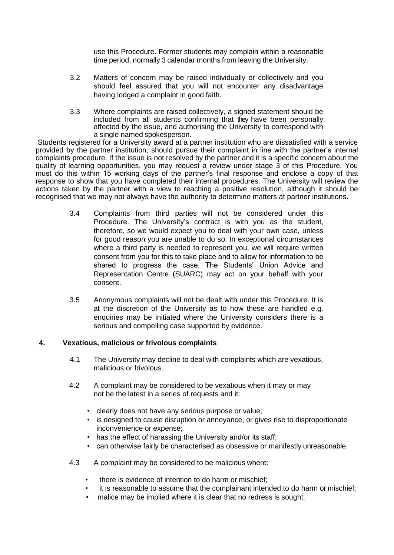use this Procedure. Former students may complain within a reasonable time period, normally 3 calendar months from leaving the University.

- 3.2 Matters of concern may be raised individually or collectively and you should feel assured that you will not encounter any disadvantage having lodged a complaint in good faith.
- 3.3 Where complaints are raised collectively, a signed statement should be included from all students confirming that they have been personally affected by the issue, and authorising the University to correspond with a single named spokesperson.

Students registered for a University award at a partner institution who are dissatisfied with a service provided by the partner institution, should pursue their complaint in line with the partner's internal complaints procedure. If the issue is not resolved by the partner and it is a specific concern about the quality of learning opportunities, you may request a review under stage 3 of this Procedure. You must do this within 15 working days of the partner's final response and enclose a copy of that response to show that you have completed their internal procedures. The University will review the actions taken by the partner with a view to reaching a positive resolution, although it should be recognised that we may not always have the authority to determine matters at partner institutions.

- 3.4 Complaints from third parties will not be considered under this Procedure. The University's contract is with you as the student, therefore, so we would expect you to deal with your own case, unless for good reason you are unable to do so. In exceptional circumstances where a third party is needed to represent you, we will require written consent from you for this to take place and to allow for information to be shared to progress the case. The Students' Union Advice and Representation Centre (SUARC) may act on your behalf with your consent.
- 3.5 Anonymous complaints will not be dealt with under this Procedure. It is at the discretion of the University as to how these are handled e.g. enquiries may be initiated where the University considers there is a serious and compelling case supported by evidence.

#### **4. Vexatious, malicious or frivolous complaints**

- 4.1 The University may decline to deal with complaints which are vexatious, malicious or frivolous.
- 4.2 A complaint may be considered to be vexatious when it may or may not be the latest in a series of requests and it:
	- clearly does not have any serious purpose or value;
	- is designed to cause disruption or annoyance, or gives rise to disproportionate inconvenience or expense;
	- has the effect of harassing the University and/or its staff;
	- can otherwise fairly be characterised as obsessive or manifestly unreasonable.
- 4.3 A complaint may be considered to be malicious where:
	- there is evidence of intention to do harm or mischief;
	- it is reasonable to assume that the complainant intended to do harm or mischief;
	- malice may be implied where it is clear that no redress is sought.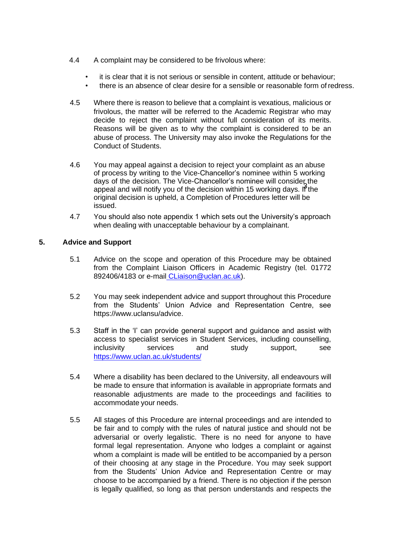- 4.4 A complaint may be considered to be frivolous where:
	- it is clear that it is not serious or sensible in content, attitude or behaviour;
	- there is an absence of clear desire for a sensible or reasonable form of redress.
- 4.5 Where there is reason to believe that a complaint is vexatious, malicious or frivolous, the matter will be referred to the Academic Registrar who may decide to reject the complaint without full consideration of its merits. Reasons will be given as to why the complaint is considered to be an abuse of process. The University may also invoke the Regulations for the Conduct of Students.
- 4.6 You may appeal against a decision to reject your complaint as an abuse of process by writing to the Vice-Chancellor's nominee within 5 working days of the decision. The Vice-Chancellor's nominee will consider the above the decision. The view shahesher is nonlined will conclude and will notify you of the decision within 15 working days. If the original decision is upheld, a Completion of Procedures letter will be issued.
- 4.7 You should also note appendix 1 which sets out the University's approach when dealing with unacceptable behaviour by a complainant.

#### **5. Advice and Support**

- 5.1 Advice on the scope and operation of this Procedure may be obtained from the Complaint Liaison Officers in Academic Registry (tel. 01772 892406/4183 or e-mail CLiaison@uclan.ac.uk).
- 5.2 You may seek independent advice and support throughout this Procedure from the Students' Union Advice and Representation Centre, see https://www.uclansu/advice.
- 5.3 Staff in the 'I' can provide general support and guidance and assist with access to specialist services in Student Services, including counselling, inclusivity services and study support, see <https://www.uclan.ac.uk/students/>
- 5.4 Where a disability has been declared to the University, all endeavours will be made to ensure that information is available in appropriate formats and reasonable adjustments are made to the proceedings and facilities to accommodate your needs.
- 5.5 All stages of this Procedure are internal proceedings and are intended to be fair and to comply with the rules of natural justice and should not be adversarial or overly legalistic. There is no need for anyone to have formal legal representation. Anyone who lodges a complaint or against whom a complaint is made will be entitled to be accompanied by a person of their choosing at any stage in the Procedure. You may seek support from the Students' Union Advice and Representation Centre or may choose to be accompanied by a friend. There is no objection if the person is legally qualified, so long as that person understands and respects the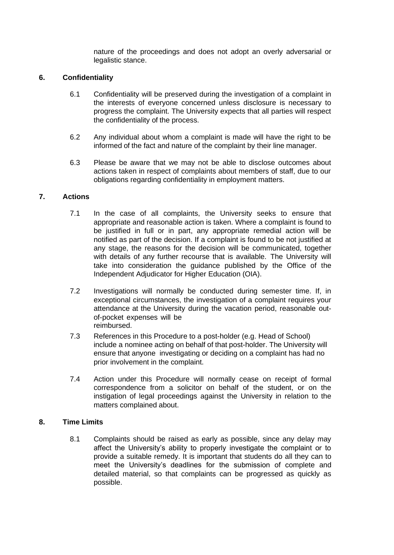nature of the proceedings and does not adopt an overly adversarial or legalistic stance.

#### **6. Confidentiality**

- 6.1 Confidentiality will be preserved during the investigation of a complaint in the interests of everyone concerned unless disclosure is necessary to progress the complaint. The University expects that all parties will respect the confidentiality of the process.
- 6.2 Any individual about whom a complaint is made will have the right to be informed of the fact and nature of the complaint by their line manager.
- 6.3 Please be aware that we may not be able to disclose outcomes about actions taken in respect of complaints about members of staff, due to our obligations regarding confidentiality in employment matters.

#### **7. Actions**

- 7.1 In the case of all complaints, the University seeks to ensure that appropriate and reasonable action is taken. Where a complaint is found to be justified in full or in part, any appropriate remedial action will be notified as part of the decision. If a complaint is found to be not justified at any stage, the reasons for the decision will be communicated, together with details of any further recourse that is available. The University will take into consideration the guidance published by the Office of the Independent Adjudicator for Higher Education (OIA).
- 7.2 Investigations will normally be conducted during semester time. If, in exceptional circumstances, the investigation of a complaint requires your attendance at the University during the vacation period, reasonable outof-pocket expenses will be reimbursed.
- 7.3 References in this Procedure to a post-holder (e.g. Head of School) include a nominee acting on behalf of that post-holder. The University will ensure that anyone investigating or deciding on a complaint has had no prior involvement in the complaint.
- 7.4 Action under this Procedure will normally cease on receipt of formal correspondence from a solicitor on behalf of the student, or on the instigation of legal proceedings against the University in relation to the matters complained about.

#### **8. Time Limits**

8.1 Complaints should be raised as early as possible, since any delay may affect the University's ability to properly investigate the complaint or to provide a suitable remedy. It is important that students do all they can to meet the University's deadlines for the submission of complete and detailed material, so that complaints can be progressed as quickly as possible.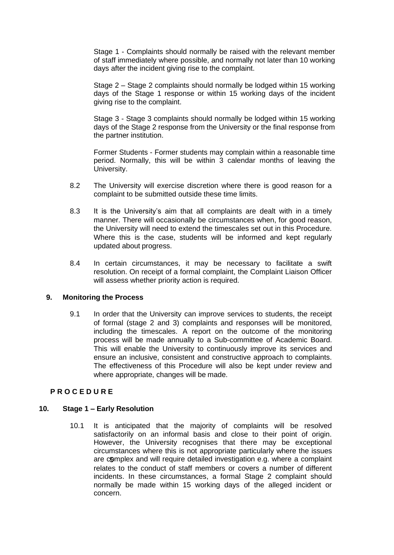Stage 1 - Complaints should normally be raised with the relevant member of staff immediately where possible, and normally not later than 10 working days after the incident giving rise to the complaint.

Stage 2 – Stage 2 complaints should normally be lodged within 15 working days of the Stage 1 response or within 15 working days of the incident giving rise to the complaint.

Stage 3 - Stage 3 complaints should normally be lodged within 15 working days of the Stage 2 response from the University or the final response from the partner institution.

Former Students - Former students may complain within a reasonable time period. Normally, this will be within 3 calendar months of leaving the University.

- 8.2 The University will exercise discretion where there is good reason for a complaint to be submitted outside these time limits.
- 8.3 It is the University's aim that all complaints are dealt with in a timely manner. There will occasionally be circumstances when, for good reason, the University will need to extend the timescales set out in this Procedure. Where this is the case, students will be informed and kept regularly updated about progress.
- 8.4 In certain circumstances, it may be necessary to facilitate a swift resolution. On receipt of a formal complaint, the Complaint Liaison Officer will assess whether priority action is required.

#### **9. Monitoring the Process**

9.1 In order that the University can improve services to students, the receipt of formal (stage 2 and 3) complaints and responses will be monitored, including the timescales. A report on the outcome of the monitoring process will be made annually to a Sub-committee of Academic Board. This will enable the University to continuously improve its services and ensure an inclusive, consistent and constructive approach to complaints. The effectiveness of this Procedure will also be kept under review and where appropriate, changes will be made.

#### **P R O C E D U R E**

#### **10. Stage 1 – Early Resolution**

10.1 It is anticipated that the majority of complaints will be resolved satisfactorily on an informal basis and close to their point of origin. However, the University recognises that there may be exceptional circumstances where this is not appropriate particularly where the issues are complex and will require detailed investigation e.g. where a complaint relates to the conduct of staff members or covers a number of different incidents. In these circumstances, a formal Stage 2 complaint should normally be made within 15 working days of the alleged incident or concern.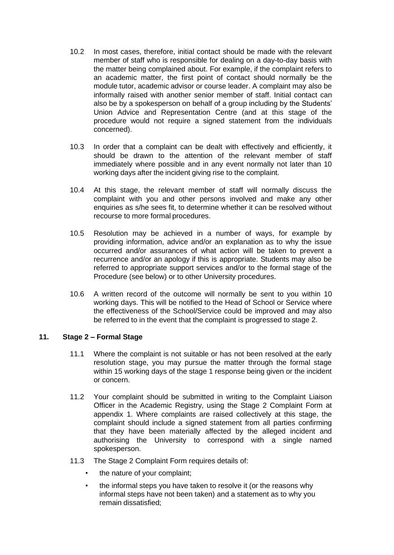- 10.2 In most cases, therefore, initial contact should be made with the relevant member of staff who is responsible for dealing on a day-to-day basis with the matter being complained about. For example, if the complaint refers to an academic matter, the first point of contact should normally be the module tutor, academic advisor or course leader. A complaint may also be informally raised with another senior member of staff. Initial contact can also be by a spokesperson on behalf of a group including by the Students' Union Advice and Representation Centre (and at this stage of the procedure would not require a signed statement from the individuals concerned).
- 10.3 In order that a complaint can be dealt with effectively and efficiently, it should be drawn to the attention of the relevant member of staff immediately where possible and in any event normally not later than 10 working days after the incident giving rise to the complaint.
- 10.4 At this stage, the relevant member of staff will normally discuss the complaint with you and other persons involved and make any other enquiries as s/he sees fit, to determine whether it can be resolved without recourse to more formal procedures.
- 10.5 Resolution may be achieved in a number of ways, for example by providing information, advice and/or an explanation as to why the issue occurred and/or assurances of what action will be taken to prevent a recurrence and/or an apology if this is appropriate. Students may also be referred to appropriate support services and/or to the formal stage of the Procedure (see below) or to other University procedures.
- 10.6 A written record of the outcome will normally be sent to you within 10 working days. This will be notified to the Head of School or Service where the effectiveness of the School/Service could be improved and may also be referred to in the event that the complaint is progressed to stage 2.

#### **11. Stage 2 – Formal Stage**

- 11.1 Where the complaint is not suitable or has not been resolved at the early resolution stage, you may pursue the matter through the formal stage within 15 working days of the stage 1 response being given or the incident or concern.
- 11.2 Your complaint should be submitted in writing to the Complaint Liaison Officer in the Academic Registry, using the Stage 2 Complaint Form at appendix 1. Where complaints are raised collectively at this stage, the complaint should include a signed statement from all parties confirming that they have been materially affected by the alleged incident and authorising the University to correspond with a single named spokesperson.
- 11.3 The Stage 2 Complaint Form requires details of:
	- the nature of your complaint;
	- the informal steps you have taken to resolve it (or the reasons why informal steps have not been taken) and a statement as to why you remain dissatisfied;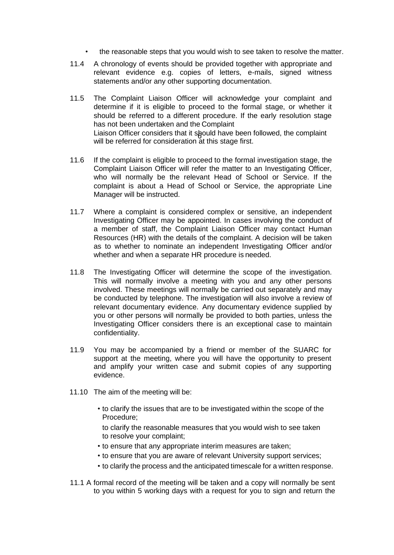- the reasonable steps that you would wish to see taken to resolve the matter.
- 11.4 A chronology of events should be provided together with appropriate and relevant evidence e.g. copies of letters, e-mails, signed witness statements and/or any other supporting documentation.
- 11.5 The Complaint Liaison Officer will acknowledge your complaint and determine if it is eligible to proceed to the formal stage, or whether it should be referred to a different procedure. If the early resolution stage has not been undertaken and the Complaint Liaison Officer considers that it should have been followed, the complaint Listing and the complaint will be referred for consideration at this stage first.
- 11.6 If the complaint is eligible to proceed to the formal investigation stage, the Complaint Liaison Officer will refer the matter to an Investigating Officer, who will normally be the relevant Head of School or Service. If the complaint is about a Head of School or Service, the appropriate Line Manager will be instructed.
- 11.7 Where a complaint is considered complex or sensitive, an independent Investigating Officer may be appointed. In cases involving the conduct of a member of staff, the Complaint Liaison Officer may contact Human Resources (HR) with the details of the complaint. A decision will be taken as to whether to nominate an independent Investigating Officer and/or whether and when a separate HR procedure is needed.
- 11.8 The Investigating Officer will determine the scope of the investigation. This will normally involve a meeting with you and any other persons involved. These meetings will normally be carried out separately and may be conducted by telephone. The investigation will also involve a review of relevant documentary evidence. Any documentary evidence supplied by you or other persons will normally be provided to both parties, unless the Investigating Officer considers there is an exceptional case to maintain confidentiality.
- 11.9 You may be accompanied by a friend or member of the SUARC for support at the meeting, where you will have the opportunity to present and amplify your written case and submit copies of any supporting evidence.
- 11.10 The aim of the meeting will be:
	- to clarify the issues that are to be investigated within the scope of the Procedure;
		- to clarify the reasonable measures that you would wish to see taken to resolve your complaint;
	- to ensure that any appropriate interim measures are taken;
	- to ensure that you are aware of relevant University support services;
	- to clarify the process and the anticipated timescale for a written response.
- 11.1 A formal record of the meeting will be taken and a copy will normally be sent to you within 5 working days with a request for you to sign and return the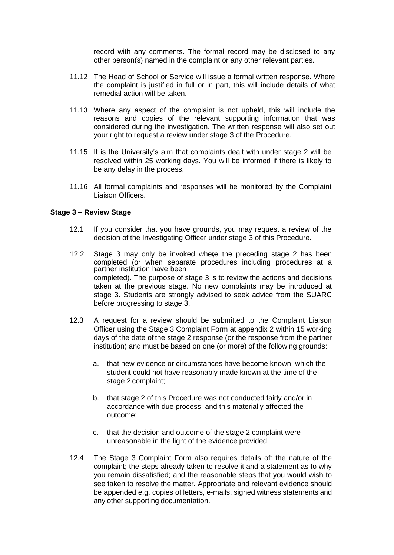record with any comments. The formal record may be disclosed to any other person(s) named in the complaint or any other relevant parties.

- 11.12 The Head of School or Service will issue a formal written response. Where the complaint is justified in full or in part, this will include details of what remedial action will be taken.
- 11.13 Where any aspect of the complaint is not upheld, this will include the reasons and copies of the relevant supporting information that was considered during the investigation. The written response will also set out your right to request a review under stage 3 of the Procedure.
- 11.15 It is the University's aim that complaints dealt with under stage 2 will be resolved within 25 working days. You will be informed if there is likely to be any delay in the process.
- 11.16 All formal complaints and responses will be monitored by the Complaint Liaison Officers.

#### **Stage 3 – Review Stage**

- 12.1 If you consider that you have grounds, you may request a review of the decision of the Investigating Officer under stage 3 of this Procedure.
- 12.2 Stage 3 may only be invoked where the preceding stage 2 has been completed (or when separate procedures including procedures at a partner institution have been completed). The purpose of stage 3 is to review the actions and decisions taken at the previous stage. No new complaints may be introduced at stage 3. Students are strongly advised to seek advice from the SUARC before progressing to stage 3.
- 12.3 A request for a review should be submitted to the Complaint Liaison Officer using the Stage 3 Complaint Form at appendix 2 within 15 working days of the date of the stage 2 response (or the response from the partner institution) and must be based on one (or more) of the following grounds:
	- a. that new evidence or circumstances have become known, which the student could not have reasonably made known at the time of the stage 2 complaint;
	- b. that stage 2 of this Procedure was not conducted fairly and/or in accordance with due process, and this materially affected the outcome;
	- c. that the decision and outcome of the stage 2 complaint were unreasonable in the light of the evidence provided.
- 12.4 The Stage 3 Complaint Form also requires details of: the nature of the complaint; the steps already taken to resolve it and a statement as to why you remain dissatisfied; and the reasonable steps that you would wish to see taken to resolve the matter. Appropriate and relevant evidence should be appended e.g. copies of letters, e-mails, signed witness statements and any other supporting documentation.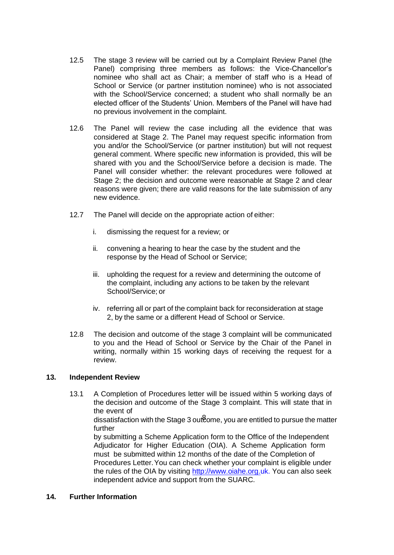- 12.5 The stage 3 review will be carried out by a Complaint Review Panel (the Panel) comprising three members as follows: the Vice-Chancellor's nominee who shall act as Chair; a member of staff who is a Head of School or Service (or partner institution nominee) who is not associated with the School/Service concerned; a student who shall normally be an elected officer of the Students' Union. Members of the Panel will have had no previous involvement in the complaint.
- 12.6 The Panel will review the case including all the evidence that was considered at Stage 2. The Panel may request specific information from you and/or the School/Service (or partner institution) but will not request general comment. Where specific new information is provided, this will be shared with you and the School/Service before a decision is made. The Panel will consider whether: the relevant procedures were followed at Stage 2; the decision and outcome were reasonable at Stage 2 and clear reasons were given; there are valid reasons for the late submission of any new evidence.
- 12.7 The Panel will decide on the appropriate action of either:
	- i. dismissing the request for a review; or
	- ii. convening a hearing to hear the case by the student and the response by the Head of School or Service;
	- iii. upholding the request for a review and determining the outcome of the complaint, including any actions to be taken by the relevant School/Service; or
	- iv. referring all or part of the complaint back for reconsideration at stage 2, by the same or a different Head of School or Service.
- 12.8 The decision and outcome of the stage 3 complaint will be communicated to you and the Head of School or Service by the Chair of the Panel in writing, normally within 15 working days of receiving the request for a review.

#### **13. Independent Review**

13.1 A Completion of Procedures letter will be issued within 5 working days of the decision and outcome of the Stage 3 complaint. This will state that in the event of dissatisfaction with the Stage 3 outcome, you are entitled to pursue the matter further by submitting a Scheme Application form to the Office of the Independent Adjudicator for Higher Education (OIA). A Scheme Application form must be submitted within 12 months of the date of the Completion of

Procedures Letter.You can check whether your complaint is eligible under the rules of the OIA by visiting [http://www.oiahe.org.uk.](http://www.oiahe.org.uk/) You can also seek independent advice and support from the SUARC.

#### **14. Further Information**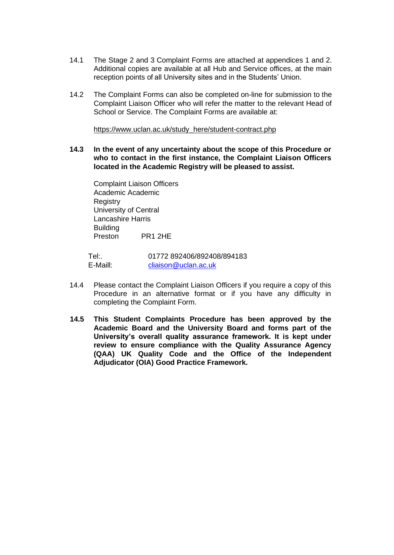- 14.1 The Stage 2 and 3 Complaint Forms are attached at appendices 1 and 2. Additional copies are available at all Hub and Service offices, at the main reception points of all University sites and in the Students' Union.
- 14.2 The Complaint Forms can also be completed on-line for submission to the Complaint Liaison Officer who will refer the matter to the relevant Head of School or Service. The Complaint Forms are available at:

[https://www.uclan.ac.uk/study\\_here/student-contract.php](https://www.uclan.ac.uk/study_here/student-contract.php)

**14.3 In the event of any uncertainty about the scope of this Procedure or who to contact in the first instance, the Complaint Liaison Officers located in the Academic Registry will be pleased to assist.**

Complaint Liaison Officers Academic Academic **Registry** University of Central Lancashire Harris Building Preston PR1 2HE

Tel:. 01772 892406/892408/894183 E-Maill: [cliaison@uclan.ac.uk](mailto:cliaison@uclan.ac.uk)

- 14.4 Please contact the Complaint Liaison Officers if you require a copy of this Procedure in an alternative format or if you have any difficulty in completing the Complaint Form.
- **14.5 This Student Complaints Procedure has been approved by the Academic Board and the University Board and forms part of the University's overall quality assurance framework. It is kept under review to ensure compliance with the Quality Assurance Agency (QAA) UK Quality Code and the Office of the Independent Adjudicator (OIA) Good Practice Framework.**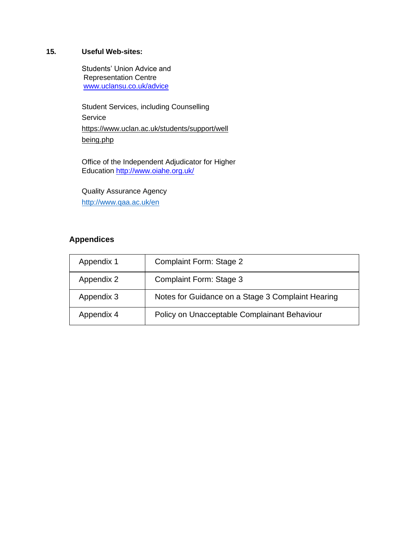#### **15. Useful Web-sites:**

Students' Union Advice and Representation Centre [www.uclansu.co.uk/advice](http://www.uclansu.co.uk/advice)

Student Services, including Counselling Service [https://www.uclan.ac.uk/students/support/well](https://www.uclan.ac.uk/students/support/wellbeing.php) [being.php](https://www.uclan.ac.uk/students/support/wellbeing.php)

Office of the Independent Adjudicator for Higher Education<http://www.oiahe.org.uk/>

Quality Assurance Agency <http://www.qaa.ac.uk/en>

#### **Appendices**

| Appendix 1 | Complaint Form: Stage 2                           |
|------------|---------------------------------------------------|
| Appendix 2 | Complaint Form: Stage 3                           |
| Appendix 3 | Notes for Guidance on a Stage 3 Complaint Hearing |
| Appendix 4 | Policy on Unacceptable Complainant Behaviour      |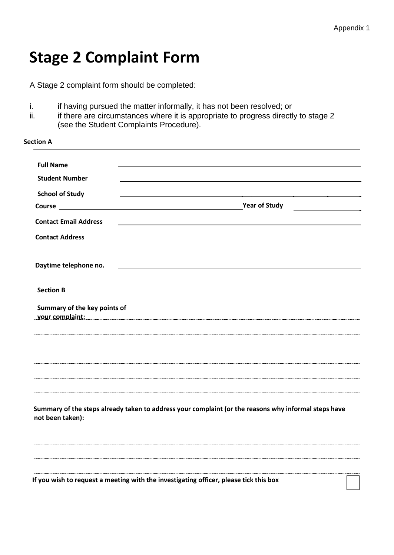## **Stage 2 Complaint Form**

A Stage 2 complaint form should be completed:

- i. if having pursued the matter informally, it has not been resolved; or
- ii. if there are circumstances where it is appropriate to progress directly to stage 2 (see the Student Complaints Procedure).

| Section A                                                                             |                                                                                                      |
|---------------------------------------------------------------------------------------|------------------------------------------------------------------------------------------------------|
| <b>Full Name</b>                                                                      |                                                                                                      |
| <b>Student Number</b>                                                                 |                                                                                                      |
| <b>School of Study</b>                                                                |                                                                                                      |
|                                                                                       | <b>Year of Study</b>                                                                                 |
| <b>Contact Email Address</b>                                                          |                                                                                                      |
| <b>Contact Address</b>                                                                |                                                                                                      |
| Daytime telephone no.                                                                 |                                                                                                      |
| <b>Section B</b>                                                                      |                                                                                                      |
| Summary of the key points of<br>your complaint:                                       |                                                                                                      |
|                                                                                       |                                                                                                      |
|                                                                                       |                                                                                                      |
| not been taken):                                                                      | Summary of the steps already taken to address your complaint (or the reasons why informal steps have |
|                                                                                       |                                                                                                      |
|                                                                                       |                                                                                                      |
| If you wish to request a meeting with the investigating officer, please tick this box |                                                                                                      |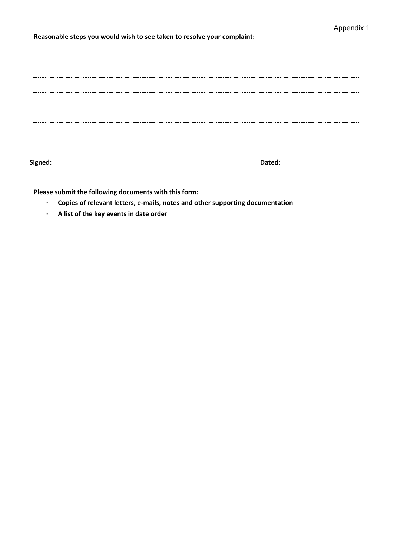#### **Reasonable steps you would wish to see taken to resolve your complaint:**

**Signed: Dated:**

**Please submit the following documents with this form:**

- **Copies of relevant letters, e-mails, notes and other supporting documentation**
- **A list of the key events in date order**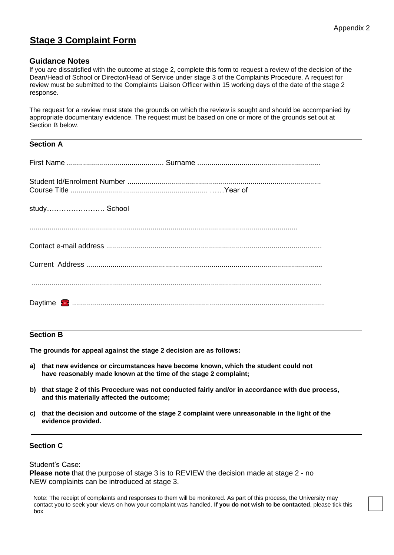#### **Stage 3 Complaint Form**

#### **Guidance Notes**

If you are dissatisfied with the outcome at stage 2, complete this form to request a review of the decision of the Dean/Head of School or Director/Head of Service under stage 3 of the Complaints Procedure. A request for review must be submitted to the Complaints Liaison Officer within 15 working days of the date of the stage 2 response.

The request for a review must state the grounds on which the review is sought and should be accompanied by appropriate documentary evidence. The request must be based on one or more of the grounds set out at Section B below.

#### **Section A**

| study School |                                                                                                                                                                                                                                                                                                                                      |
|--------------|--------------------------------------------------------------------------------------------------------------------------------------------------------------------------------------------------------------------------------------------------------------------------------------------------------------------------------------|
|              |                                                                                                                                                                                                                                                                                                                                      |
|              |                                                                                                                                                                                                                                                                                                                                      |
|              | $\begin{bmatrix} \begin{bmatrix} 0 & 0 & 0 & 0 \\ 0 & 0 & 0 & 0 \\ 0 & 0 & 0 & 0 \\ 0 & 0 & 0 & 0 \\ 0 & 0 & 0 & 0 \\ 0 & 0 & 0 & 0 & 0 \\ 0 & 0 & 0 & 0 & 0 \\ 0 & 0 & 0 & 0 & 0 \\ 0 & 0 & 0 & 0 & 0 \\ 0 & 0 & 0 & 0 & 0 \\ 0 & 0 & 0 & 0 & 0 \\ 0 & 0 & 0 & 0 & 0 \\ 0 & 0 & 0 & 0 & 0 & 0 \\ 0 & 0 & 0 & 0 & 0 & 0 \\ 0 & 0 & $ |
|              |                                                                                                                                                                                                                                                                                                                                      |

#### **Section B**

**The grounds for appeal against the stage 2 decision are as follows:**

- **a) that new evidence or circumstances have become known, which the student could not have reasonably made known at the time of the stage 2 complaint;**
- **b) that stage 2 of this Procedure was not conducted fairly and/or in accordance with due process, and this materially affected the outcome;**
- **c) that the decision and outcome of the stage 2 complaint were unreasonable in the light of the evidence provided.**

#### **Section C**

Student's Case:

**Please note** that the purpose of stage 3 is to REVIEW the decision made at stage 2 - no NEW complaints can be introduced at stage 3.

Note: The receipt of complaints and responses to them will be monitored. As part of this process, the University may contact you to seek your views on how your complaint was handled. **If you do not wish to be contacted**, please tick this box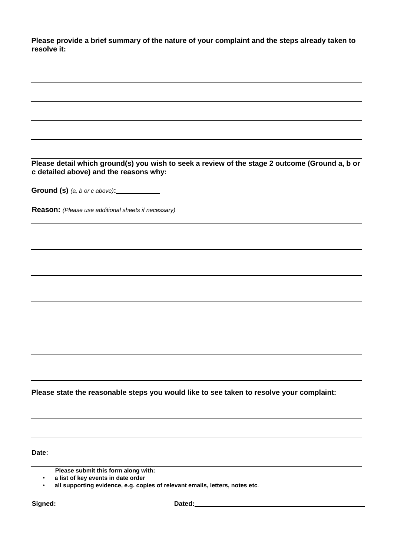**Please provide a brief summary of the nature of your complaint and the steps already taken to resolve it:**

| Please detail which ground(s) you wish to seek a review of the stage 2 outcome (Ground a, b or<br>c detailed above) and the reasons why: |
|------------------------------------------------------------------------------------------------------------------------------------------|
| Ground (s) (a, b or c above): ______________                                                                                             |
| Reason: (Please use additional sheets if necessary)                                                                                      |
|                                                                                                                                          |
|                                                                                                                                          |
|                                                                                                                                          |
|                                                                                                                                          |
|                                                                                                                                          |
|                                                                                                                                          |
|                                                                                                                                          |
|                                                                                                                                          |
|                                                                                                                                          |
|                                                                                                                                          |
|                                                                                                                                          |
|                                                                                                                                          |
|                                                                                                                                          |
| Please state the reasonable steps you would like to see taken to resolve your complaint:                                                 |
|                                                                                                                                          |
|                                                                                                                                          |
|                                                                                                                                          |
| Date:                                                                                                                                    |

**Please submit this form along with:**

• **a list of key events in date order**

• **all supporting evidence, e.g. copies of relevant emails, letters, notes etc**.

Signed: Signed: **Dated:** Dated: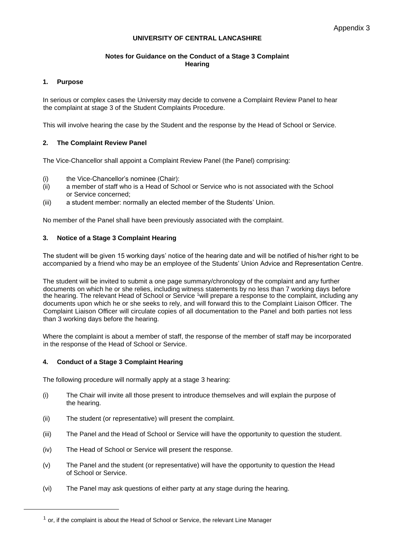#### **UNIVERSITY OF CENTRAL LANCASHIRE**

#### **Notes for Guidance on the Conduct of a Stage 3 Complaint Hearing**

#### **1. Purpose**

In serious or complex cases the University may decide to convene a Complaint Review Panel to hear the complaint at stage 3 of the Student Complaints Procedure.

This will involve hearing the case by the Student and the response by the Head of School or Service.

#### **2. The Complaint Review Panel**

The Vice-Chancellor shall appoint a Complaint Review Panel (the Panel) comprising:

- (i) the Vice-Chancellor's nominee (Chair):
- (ii) a member of staff who is a Head of School or Service who is not associated with the School or Service concerned;
- (iii) a student member: normally an elected member of the Students' Union.

No member of the Panel shall have been previously associated with the complaint.

#### **3. Notice of a Stage 3 Complaint Hearing**

The student will be given 15 working days' notice of the hearing date and will be notified of his/her right to be accompanied by a friend who may be an employee of the Students' Union Advice and Representation Centre.

The student will be invited to submit a one page summary/chronology of the complaint and any further documents on which he or she relies, including witness statements by no less than 7 working days before the hearing. The relevant Head of School or Service <sup>1</sup>will prepare a response to the complaint, including any documents upon which he or she seeks to rely, and will forward this to the Complaint Liaison Officer. The Complaint Liaison Officer will circulate copies of all documentation to the Panel and both parties not less than 3 working days before the hearing.

Where the complaint is about a member of staff, the response of the member of staff may be incorporated in the response of the Head of School or Service.

#### **4. Conduct of a Stage 3 Complaint Hearing**

The following procedure will normally apply at a stage 3 hearing:

- (i) The Chair will invite all those present to introduce themselves and will explain the purpose of the hearing.
- (ii) The student (or representative) will present the complaint.
- (iii) The Panel and the Head of School or Service will have the opportunity to question the student.
- (iv) The Head of School or Service will present the response.
- (v) The Panel and the student (or representative) will have the opportunity to question the Head of School or Service.
- (vi) The Panel may ask questions of either party at any stage during the hearing.

 $<sup>1</sup>$  or, if the complaint is about the Head of School or Service, the relevant Line Manager</sup>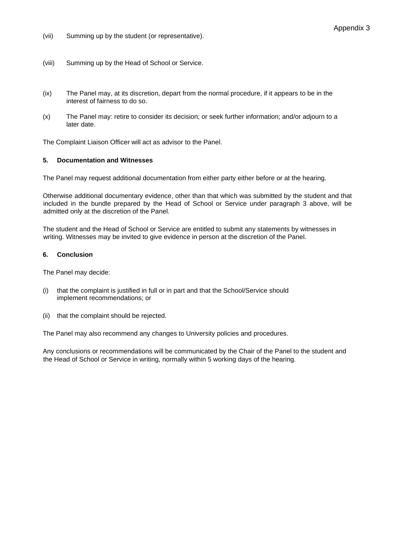(vii) Summing up by the student (or representative).

- (viii) Summing up by the Head of School or Service.
- (ix) The Panel may, at its discretion, depart from the normal procedure, if it appears to be in the interest of fairness to do so.
- (x) The Panel may: retire to consider its decision; or seek further information; and/or adjourn to a later date.

The Complaint Liaison Officer will act as advisor to the Panel.

#### **5. Documentation and Witnesses**

The Panel may request additional documentation from either party either before or at the hearing.

Otherwise additional documentary evidence, other than that which was submitted by the student and that included in the bundle prepared by the Head of School or Service under paragraph 3 above, will be admitted only at the discretion of the Panel.

The student and the Head of School or Service are entitled to submit any statements by witnesses in writing. Witnesses may be invited to give evidence in person at the discretion of the Panel.

#### **6. Conclusion**

The Panel may decide:

- (i) that the complaint is justified in full or in part and that the School/Service should implement recommendations; or
- (ii) that the complaint should be rejected.

The Panel may also recommend any changes to University policies and procedures.

Any conclusions or recommendations will be communicated by the Chair of the Panel to the student and the Head of School or Service in writing, normally within 5 working days of the hearing.